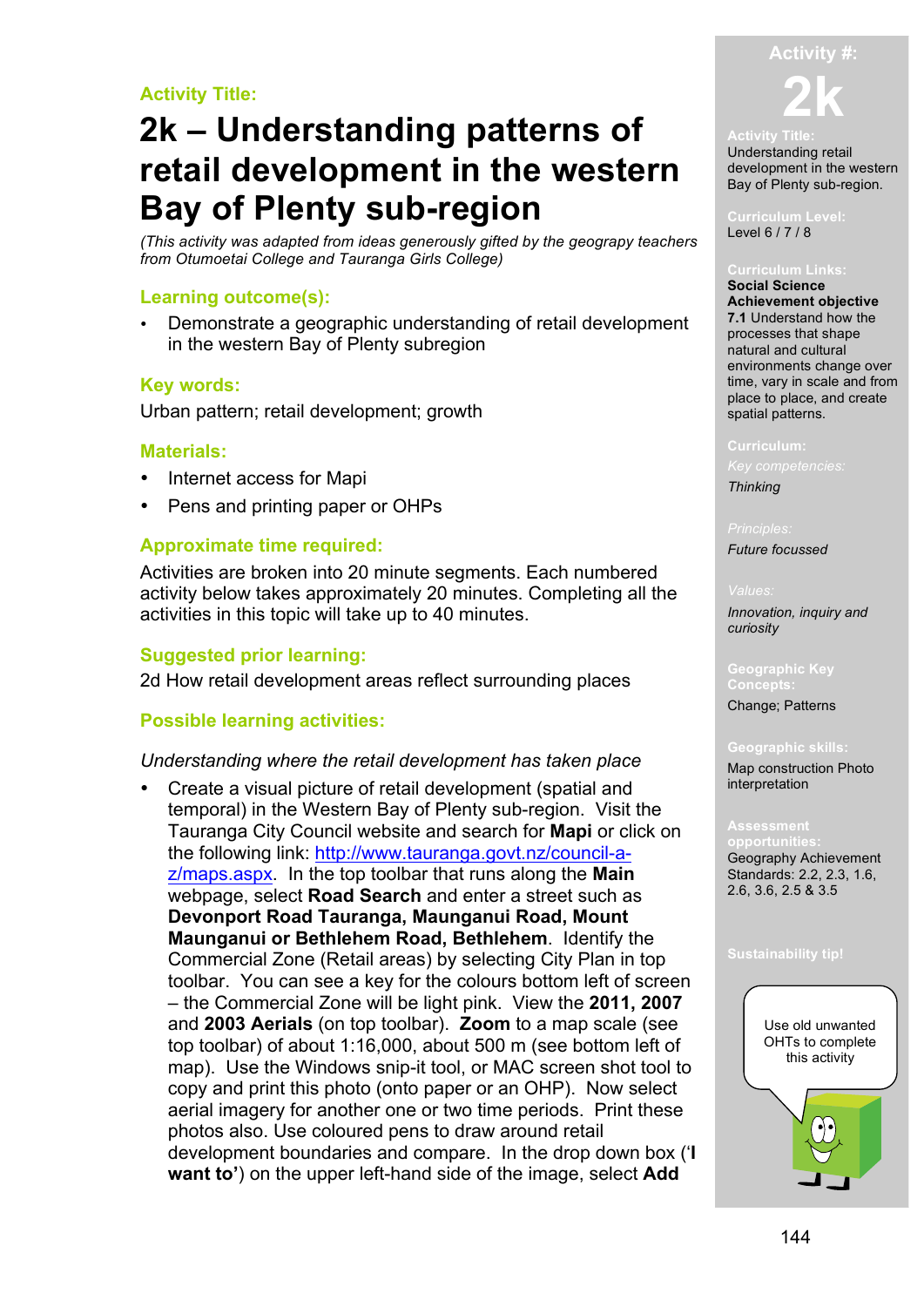# **Activity Title:**

# **2k – Understanding patterns of retail development in the western Bay of Plenty sub-region**

*(This activity was adapted from ideas generously gifted by the geograpy teachers from Otumoetai College and Tauranga Girls College)*

# **Learning outcome(s):**

• Demonstrate a geographic understanding of retail development in the western Bay of Plenty subregion

# **Key words:**

Urban pattern; retail development; growth

# **Materials:**

- Internet access for Mapi
- Pens and printing paper or OHPs

# **Approximate time required:**

Activities are broken into 20 minute segments. Each numbered activity below takes approximately 20 minutes. Completing all the activities in this topic will take up to 40 minutes.

# **Suggested prior learning:**

2d How retail development areas reflect surrounding places

# **Possible learning activities:**

## *Understanding where the retail development has taken place*

• Create a visual picture of retail development (spatial and temporal) in the Western Bay of Plenty sub-region. Visit the Tauranga City Council website and search for **Mapi** or click on the following link: http://www.tauranga.govt.nz/council-az/maps.aspx. In the top toolbar that runs along the **Main** webpage, select **Road Search** and enter a street such as **Devonport Road Tauranga, Maunganui Road, Mount Maunganui or Bethlehem Road, Bethlehem**. Identify the Commercial Zone (Retail areas) by selecting City Plan in top toolbar. You can see a key for the colours bottom left of screen – the Commercial Zone will be light pink. View the **2011, 2007** and **2003 Aerials** (on top toolbar). **Zoom** to a map scale (see top toolbar) of about 1:16,000, about 500 m (see bottom left of map). Use the Windows snip-it tool, or MAC screen shot tool to copy and print this photo (onto paper or an OHP). Now select aerial imagery for another one or two time periods. Print these photos also. Use coloured pens to draw around retail development boundaries and compare. In the drop down box ('**I want to'**) on the upper left-hand side of the image, select **Add** 



### **Activity Title:**

Understanding retail development in the western Bay of Plenty sub-region.

**Curriculum Level:** Level 6 / 7 / 8

**Social Science Achievement objective 7.1** Understand how the processes that shape natural and cultural environments change over time, vary in scale and from place to place, and create spatial patterns.

### **Curriculum:**

*Key competencies:*

*Thinking*

*Future focussed*

*Innovation, inquiry and curiosity* 

**Geographic Key** 

Change; Patterns

### **Geographic skills:**

Map construction Photo interpretation

**opportunities:** Geography Achievement Standards: 2.2, 2.3, 1.6, 2.6, 3.6, 2.5 & 3.5

### **Sustainability tip!**